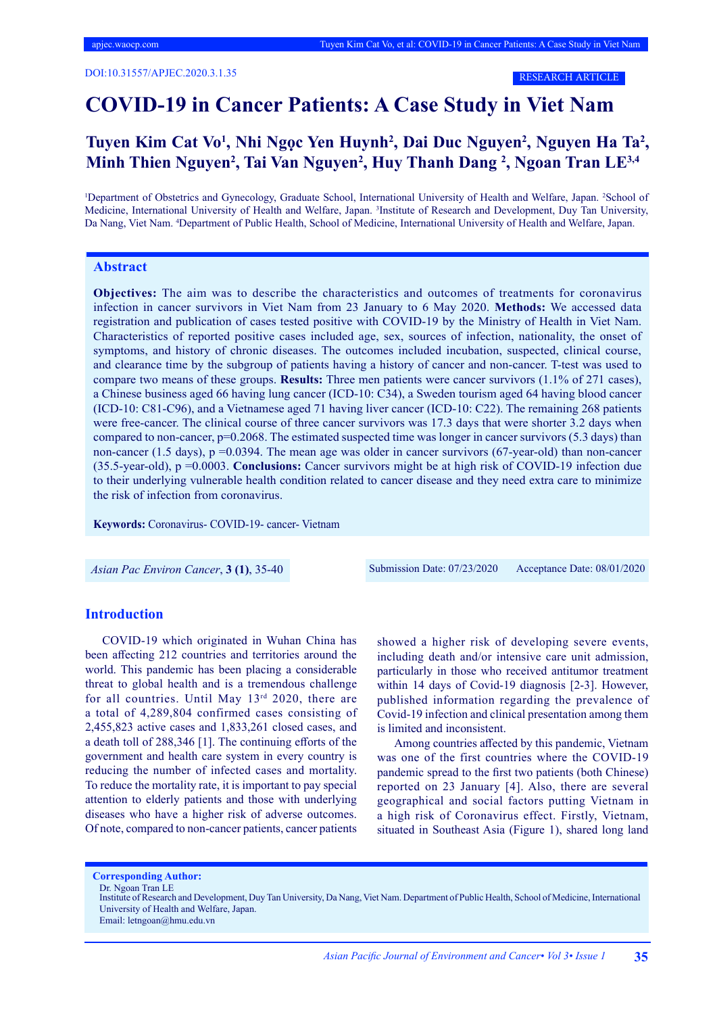RESEARCH ARTICLE

## **COVID-19 in Cancer Patients: A Case Study in Viet Nam**

## Tuyen Kim Cat Vo<sup>1</sup>, Nhi Ngọc Yen Huynh<sup>2</sup>, Dai Duc Nguyen<sup>2</sup>, Nguyen Ha Ta<sup>2</sup>, **Minh Thien Nguyen2 , Tai Van Nguyen2 , Huy Thanh Dang <sup>2</sup> , Ngoan Tran LE3,4**

<sup>1</sup>Department of Obstetrics and Gynecology, Graduate School, International University of Health and Welfare, Japan. <sup>2</sup>School of Medicine, International University of Health and Welfare, Japan. <sup>3</sup>Institute of Research and Development, Duy Tan University, Da Nang, Viet Nam. <sup>4</sup> Department of Public Health, School of Medicine, International University of Health and Welfare, Japan.

### **Abstract**

**Objectives:** The aim was to describe the characteristics and outcomes of treatments for coronavirus infection in cancer survivors in Viet Nam from 23 January to 6 May 2020. **Methods:** We accessed data registration and publication of cases tested positive with COVID-19 by the Ministry of Health in Viet Nam. Characteristics of reported positive cases included age, sex, sources of infection, nationality, the onset of symptoms, and history of chronic diseases. The outcomes included incubation, suspected, clinical course, and clearance time by the subgroup of patients having a history of cancer and non-cancer. T-test was used to compare two means of these groups. **Results:** Three men patients were cancer survivors (1.1% of 271 cases), a Chinese business aged 66 having lung cancer (ICD-10: C34), a Sweden tourism aged 64 having blood cancer (ICD-10: C81-C96), and a Vietnamese aged 71 having liver cancer (ICD-10: C22). The remaining 268 patients were free-cancer. The clinical course of three cancer survivors was 17.3 days that were shorter 3.2 days when compared to non-cancer, p=0.2068. The estimated suspected time was longer in cancer survivors (5.3 days) than non-cancer (1.5 days),  $p = 0.0394$ . The mean age was older in cancer survivors (67-year-old) than non-cancer (35.5-year-old), p =0.0003. **Conclusions:** Cancer survivors might be at high risk of COVID-19 infection due to their underlying vulnerable health condition related to cancer disease and they need extra care to minimize the risk of infection from coronavirus.

**Keywords:** Coronavirus- COVID-19- cancer- Vietnam

*Asian Pac Environ Cancer*, **3 (1)**, 35-40 Submission Date: 07/23/2020 Acceptance Date: 08/01/2020

## **Introduction**

COVID-19 which originated in Wuhan China has been affecting 212 countries and territories around the world. This pandemic has been placing a considerable threat to global health and is a tremendous challenge for all countries. Until May 13rd 2020, there are a total of 4,289,804 confirmed cases consisting of 2,455,823 active cases and 1,833,261 closed cases, and a death toll of 288,346 [1]. The continuing efforts of the government and health care system in every country is reducing the number of infected cases and mortality. To reduce the mortality rate, it is important to pay special attention to elderly patients and those with underlying diseases who have a higher risk of adverse outcomes. Of note, compared to non-cancer patients, cancer patients

showed a higher risk of developing severe events, including death and/or intensive care unit admission, particularly in those who received antitumor treatment within 14 days of Covid-19 diagnosis [2-3]. However, published information regarding the prevalence of Covid-19 infection and clinical presentation among them is limited and inconsistent.

Among countries affected by this pandemic, Vietnam was one of the first countries where the COVID-19 pandemic spread to the first two patients (both Chinese) reported on 23 January [4]. Also, there are several geographical and social factors putting Vietnam in a high risk of Coronavirus effect. Firstly, Vietnam, situated in Southeast Asia (Figure 1), shared long land

**Corresponding Author:**

Dr. Ngoan Tran LE

Email: letngoan@hmu.edu.vn

Institute of Research and Development, Duy Tan University, Da Nang, Viet Nam. Department of Public Health, School of Medicine, International University of Health and Welfare, Japan.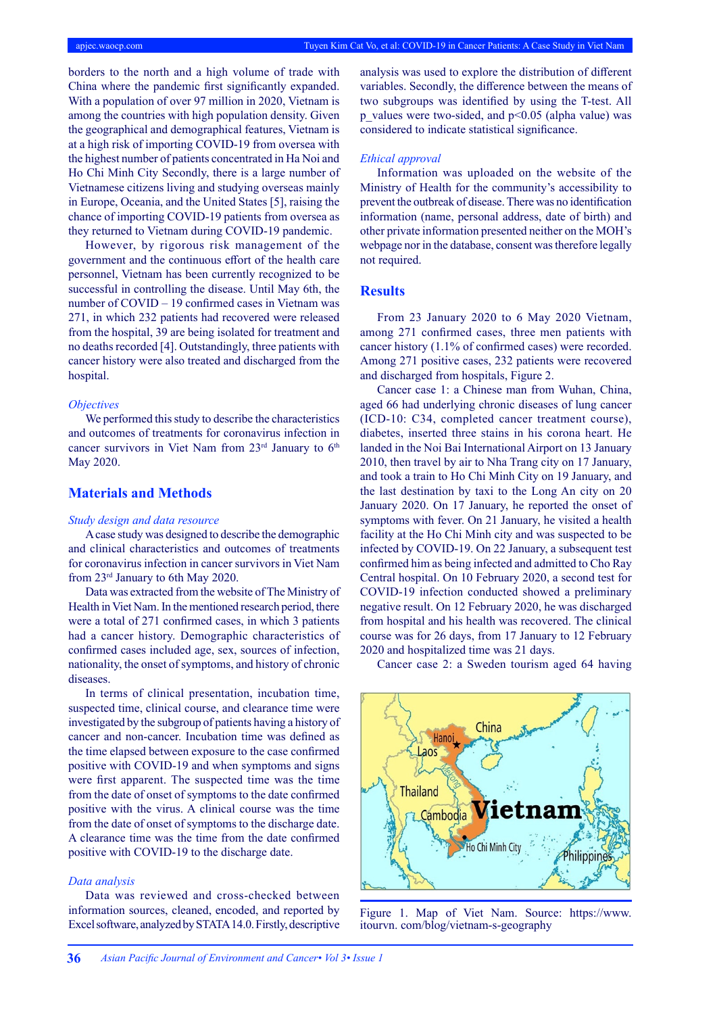borders to the north and a high volume of trade with China where the pandemic first significantly expanded. With a population of over 97 million in 2020, Vietnam is among the countries with high population density. Given the geographical and demographical features, Vietnam is at a high risk of importing COVID-19 from oversea with the highest number of patients concentrated in Ha Noi and Ho Chi Minh City Secondly, there is a large number of Vietnamese citizens living and studying overseas mainly in Europe, Oceania, and the United States [5], raising the chance of importing COVID-19 patients from oversea as they returned to Vietnam during COVID-19 pandemic.

However, by rigorous risk management of the government and the continuous effort of the health care personnel, Vietnam has been currently recognized to be successful in controlling the disease. Until May 6th, the number of COVID – 19 confirmed cases in Vietnam was 271, in which 232 patients had recovered were released from the hospital, 39 are being isolated for treatment and no deaths recorded [4]. Outstandingly, three patients with cancer history were also treated and discharged from the hospital.

#### *Objectives*

We performed this study to describe the characteristics and outcomes of treatments for coronavirus infection in cancer survivors in Viet Nam from  $23<sup>rd</sup>$  January to  $6<sup>th</sup>$ May 2020.

## **Materials and Methods**

#### *Study design and data resource*

A case study was designed to describe the demographic and clinical characteristics and outcomes of treatments for coronavirus infection in cancer survivors in Viet Nam from 23rd January to 6th May 2020.

Data was extracted from the website of The Ministry of Health in Viet Nam. In the mentioned research period, there were a total of 271 confirmed cases, in which 3 patients had a cancer history. Demographic characteristics of confirmed cases included age, sex, sources of infection, nationality, the onset of symptoms, and history of chronic diseases.

In terms of clinical presentation, incubation time, suspected time, clinical course, and clearance time were investigated by the subgroup of patients having a history of cancer and non-cancer. Incubation time was defined as the time elapsed between exposure to the case confirmed positive with COVID-19 and when symptoms and signs were first apparent. The suspected time was the time from the date of onset of symptoms to the date confirmed positive with the virus. A clinical course was the time from the date of onset of symptoms to the discharge date. A clearance time was the time from the date confirmed positive with COVID-19 to the discharge date.

### *Data analysis*

Data was reviewed and cross-checked between information sources, cleaned, encoded, and reported by Excel software, analyzed by STATA 14.0. Firstly, descriptive

analysis was used to explore the distribution of different variables. Secondly, the difference between the means of two subgroups was identified by using the T-test. All p\_values were two-sided, and  $p<0.05$  (alpha value) was considered to indicate statistical significance.

#### *Ethical approval*

Information was uploaded on the website of the Ministry of Health for the community's accessibility to prevent the outbreak of disease. There was no identification information (name, personal address, date of birth) and other private information presented neither on the MOH's webpage nor in the database, consent was therefore legally not required.

## **Results**

From 23 January 2020 to 6 May 2020 Vietnam, among 271 confirmed cases, three men patients with cancer history (1.1% of confirmed cases) were recorded. Among 271 positive cases, 232 patients were recovered and discharged from hospitals, Figure 2.

Cancer case 1: a Chinese man from Wuhan, China, aged 66 had underlying chronic diseases of lung cancer (ICD-10: C34, completed cancer treatment course), diabetes, inserted three stains in his corona heart. He landed in the Noi Bai International Airport on 13 January 2010, then travel by air to Nha Trang city on 17 January, and took a train to Ho Chi Minh City on 19 January, and the last destination by taxi to the Long An city on 20 January 2020. On 17 January, he reported the onset of symptoms with fever. On 21 January, he visited a health facility at the Ho Chi Minh city and was suspected to be infected by COVID-19. On 22 January, a subsequent test confirmed him as being infected and admitted to Cho Ray Central hospital. On 10 February 2020, a second test for COVID-19 infection conducted showed a preliminary negative result. On 12 February 2020, he was discharged from hospital and his health was recovered. The clinical course was for 26 days, from 17 January to 12 February 2020 and hospitalized time was 21 days.

Cancer case 2: a Sweden tourism aged 64 having



Figure 1. Map of Viet Nam. Source: https://www. itourvn. com/blog/vietnam-s-geography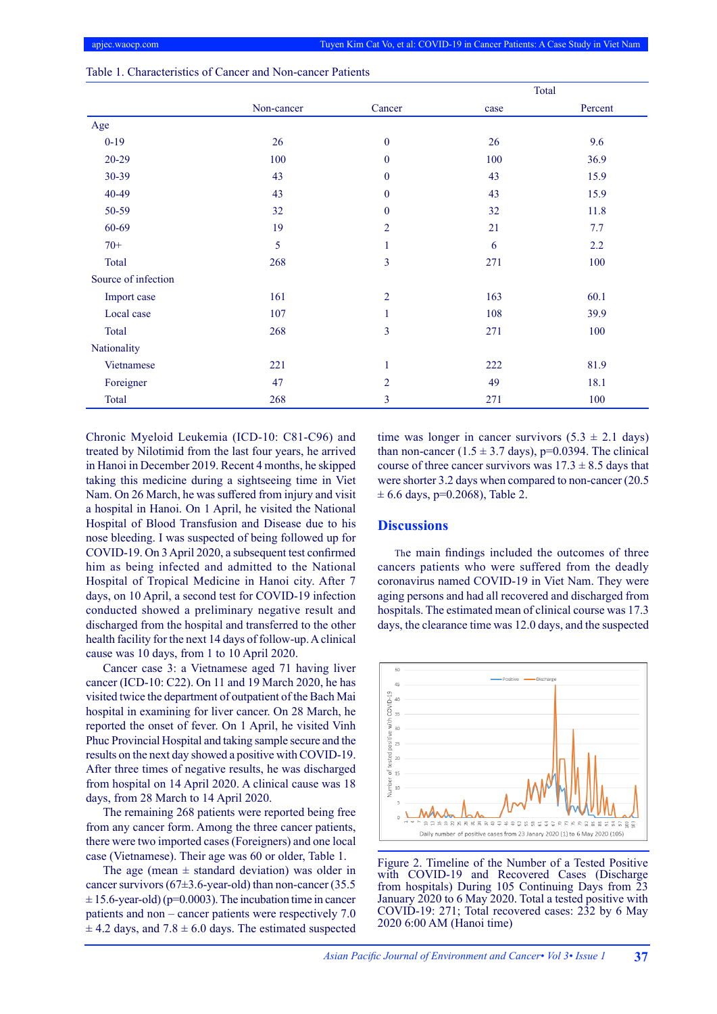|                     |            |                | Total |         |  |
|---------------------|------------|----------------|-------|---------|--|
|                     | Non-cancer | Cancer         | case  | Percent |  |
| Age                 |            |                |       |         |  |
| $0-19$              | 26         | $\mathbf{0}$   | 26    | 9.6     |  |
| $20 - 29$           | 100        | $\mathbf{0}$   | 100   | 36.9    |  |
| 30-39               | 43         | $\mathbf{0}$   | 43    | 15.9    |  |
| 40-49               | 43         | $\mathbf{0}$   | 43    | 15.9    |  |
| 50-59               | 32         | $\mathbf{0}$   | 32    | 11.8    |  |
| 60-69               | 19         | $\overline{2}$ | 21    | 7.7     |  |
| $70+$               | 5          | 1              | 6     | 2.2     |  |
| Total               | 268        | 3              | 271   | 100     |  |
| Source of infection |            |                |       |         |  |
| Import case         | 161        | $\overline{2}$ | 163   | 60.1    |  |
| Local case          | 107        | 1              | 108   | 39.9    |  |
| Total               | 268        | 3              | 271   | 100     |  |
| Nationality         |            |                |       |         |  |
| Vietnamese          | 221        | $\mathbf{1}$   | 222   | 81.9    |  |
| Foreigner           | 47         | $\overline{2}$ | 49    | 18.1    |  |
| Total               | 268        | $\overline{3}$ | 271   | 100     |  |

Table 1. Characteristics of Cancer and Non-cancer Patients

Chronic Myeloid Leukemia (ICD-10: C81-C96) and treated by Nilotimid from the last four years, he arrived in Hanoi in December 2019. Recent 4 months, he skipped taking this medicine during a sightseeing time in Viet Nam. On 26 March, he was suffered from injury and visit a hospital in Hanoi. On 1 April, he visited the National Hospital of Blood Transfusion and Disease due to his nose bleeding. I was suspected of being followed up for COVID-19. On 3 April 2020, a subsequent test confirmed him as being infected and admitted to the National Hospital of Tropical Medicine in Hanoi city. After 7 days, on 10 April, a second test for COVID-19 infection conducted showed a preliminary negative result and discharged from the hospital and transferred to the other health facility for the next 14 days of follow-up. A clinical cause was 10 days, from 1 to 10 April 2020.

Cancer case 3: a Vietnamese aged 71 having liver cancer (ICD-10: C22). On 11 and 19 March 2020, he has visited twice the department of outpatient of the Bach Mai hospital in examining for liver cancer. On 28 March, he reported the onset of fever. On 1 April, he visited Vinh Phuc Provincial Hospital and taking sample secure and the results on the next day showed a positive with COVID-19. After three times of negative results, he was discharged from hospital on 14 April 2020. A clinical cause was 18 days, from 28 March to 14 April 2020.

The remaining 268 patients were reported being free from any cancer form. Among the three cancer patients, there were two imported cases (Foreigners) and one local case (Vietnamese). Their age was 60 or older, Table 1.

The age (mean  $\pm$  standard deviation) was older in cancer survivors ( $67\pm3.6$ -year-old) than non-cancer (35.5)  $\pm$  15.6-year-old) (p=0.0003). The incubation time in cancer patients and non – cancer patients were respectively 7.0  $\pm$  4.2 days, and 7.8  $\pm$  6.0 days. The estimated suspected time was longer in cancer survivors  $(5.3 \pm 2.1$  days) than non-cancer  $(1.5 \pm 3.7 \text{ days})$ , p=0.0394. The clinical course of three cancer survivors was  $17.3 \pm 8.5$  days that were shorter 3.2 days when compared to non-cancer (20.5  $± 6.6$  days, p=0.2068), Table 2.

## **Discussions**

The main findings included the outcomes of three cancers patients who were suffered from the deadly coronavirus named COVID-19 in Viet Nam. They were aging persons and had all recovered and discharged from hospitals. The estimated mean of clinical course was 17.3 days, the clearance time was 12.0 days, and the suspected



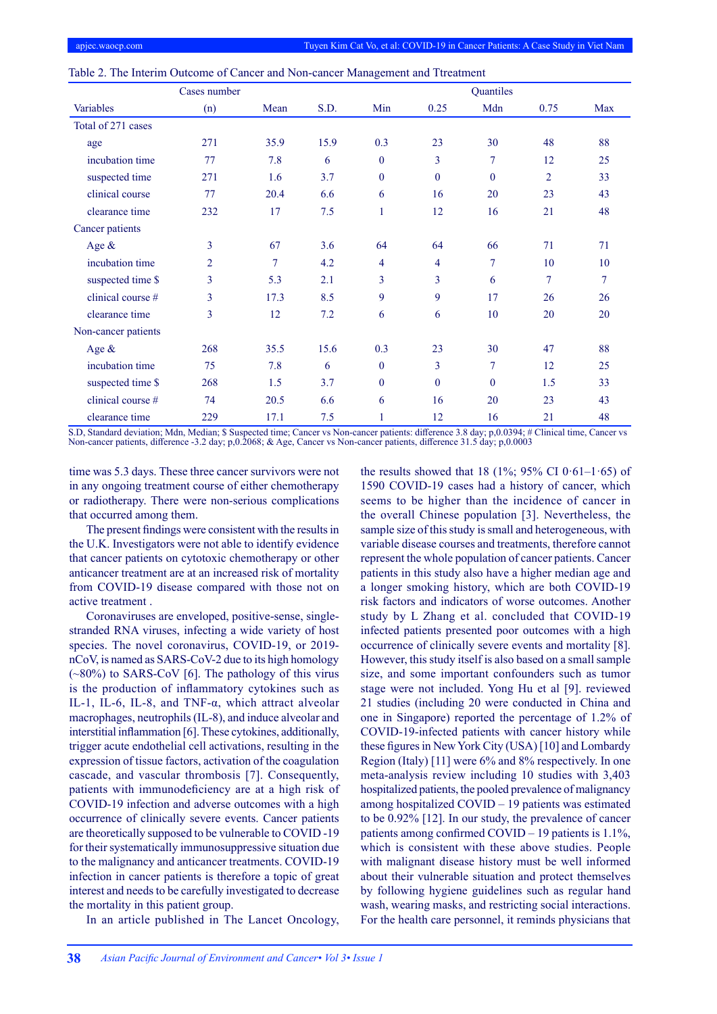|                     | Cases number   |        |      |                |                | Quantiles    |                |        |
|---------------------|----------------|--------|------|----------------|----------------|--------------|----------------|--------|
| Variables           | (n)            | Mean   | S.D. | Min            | 0.25           | Mdn          | 0.75           | Max    |
| Total of 271 cases  |                |        |      |                |                |              |                |        |
| age                 | 271            | 35.9   | 15.9 | 0.3            | 23             | 30           | 48             | 88     |
| incubation time     | 77             | 7.8    | 6    | $\theta$       | 3              | $\tau$       | 12             | 25     |
| suspected time      | 271            | 1.6    | 3.7  | $\mathbf{0}$   | $\theta$       | $\theta$     | $\overline{2}$ | 33     |
| clinical course     | 77             | 20.4   | 6.6  | 6              | 16             | 20           | 23             | 43     |
| clearance time      | 232            | 17     | 7.5  | $\mathbf{1}$   | 12             | 16           | 21             | 48     |
| Cancer patients     |                |        |      |                |                |              |                |        |
| Age &               | 3              | 67     | 3.6  | 64             | 64             | 66           | 71             | 71     |
| incubation time     | $\overline{2}$ | $\tau$ | 4.2  | $\overline{4}$ | $\overline{4}$ | 7            | 10             | 10     |
| suspected time \$   | 3              | 5.3    | 2.1  | 3              | 3              | 6            | 7              | $\tau$ |
| clinical course #   | 3              | 17.3   | 8.5  | 9              | 9              | 17           | 26             | 26     |
| clearance time      | 3              | 12     | 7.2  | 6              | 6              | 10           | 20             | 20     |
| Non-cancer patients |                |        |      |                |                |              |                |        |
| Age &               | 268            | 35.5   | 15.6 | 0.3            | 23             | 30           | 47             | 88     |
| incubation time     | 75             | 7.8    | 6    | $\theta$       | 3              | 7            | 12             | 25     |
| suspected time \$   | 268            | 1.5    | 3.7  | $\mathbf{0}$   | $\theta$       | $\mathbf{0}$ | 1.5            | 33     |
| clinical course #   | 74             | 20.5   | 6.6  | 6              | 16             | 20           | 23             | 43     |
| clearance time      | 229            | 17.1   | 7.5  | 1              | 12             | 16           | 21             | 48     |

|  |  |  |  |  | Table 2. The Interim Outcome of Cancer and Non-cancer Management and Ttreatment |  |
|--|--|--|--|--|---------------------------------------------------------------------------------|--|
|--|--|--|--|--|---------------------------------------------------------------------------------|--|

S.D, Standard deviation; Mdn, Median; \$ Suspected time; Cancer vs Non-cancer patients: difference 3.8 day; p,0.0394; # Clinical time, Cancer vs Non-cancer patients, difference -3.2 day; p,0.2068; & Age, Cancer vs Non-cancer patients, difference 31.5 day; p,0.0003

time was 5.3 days. These three cancer survivors were not in any ongoing treatment course of either chemotherapy or radiotherapy. There were non-serious complications that occurred among them.

The present findings were consistent with the results in the U.K. Investigators were not able to identify evidence that cancer patients on cytotoxic chemotherapy or other anticancer treatment are at an increased risk of mortality from COVID-19 disease compared with those not on active treatment .

Coronaviruses are enveloped, positive-sense, singlestranded RNA viruses, infecting a wide variety of host species. The novel coronavirus, COVID-19, or 2019 nCoV, is named as SARS-CoV-2 due to its high homology  $(\sim 80\%)$  to SARS-CoV [6]. The pathology of this virus is the production of inflammatory cytokines such as IL-1, IL-6, IL-8, and TNF-α, which attract alveolar macrophages, neutrophils (IL-8), and induce alveolar and interstitial inflammation [6]. These cytokines, additionally, trigger acute endothelial cell activations, resulting in the expression of tissue factors, activation of the coagulation cascade, and vascular thrombosis [7]. Consequently, patients with immunodeficiency are at a high risk of COVID-19 infection and adverse outcomes with a high occurrence of clinically severe events. Cancer patients are theoretically supposed to be vulnerable to COVID -19 for their systematically immunosuppressive situation due to the malignancy and anticancer treatments. COVID-19 infection in cancer patients is therefore a topic of great interest and needs to be carefully investigated to decrease the mortality in this patient group.

In an article published in The Lancet Oncology,

the results showed that 18 (1%; 95% CI 0·61-1·65) of 1590 COVID-19 cases had a history of cancer, which seems to be higher than the incidence of cancer in the overall Chinese population [3]. Nevertheless, the sample size of this study is small and heterogeneous, with variable disease courses and treatments, therefore cannot represent the whole population of cancer patients. Cancer patients in this study also have a higher median age and a longer smoking history, which are both COVID-19 risk factors and indicators of worse outcomes. Another study by L Zhang et al. concluded that COVID-19 infected patients presented poor outcomes with a high occurrence of clinically severe events and mortality [8]. However, this study itself is also based on a small sample size, and some important confounders such as tumor stage were not included. Yong Hu et al [9]. reviewed 21 studies (including 20 were conducted in China and one in Singapore) reported the percentage of 1.2% of COVID-19-infected patients with cancer history while these figures in New York City (USA) [10] and Lombardy Region (Italy) [11] were 6% and 8% respectively. In one meta-analysis review including 10 studies with 3,403 hospitalized patients, the pooled prevalence of malignancy among hospitalized COVID – 19 patients was estimated to be 0.92% [12]. In our study, the prevalence of cancer patients among confirmed COVID – 19 patients is 1.1%, which is consistent with these above studies. People with malignant disease history must be well informed about their vulnerable situation and protect themselves by following hygiene guidelines such as regular hand wash, wearing masks, and restricting social interactions. For the health care personnel, it reminds physicians that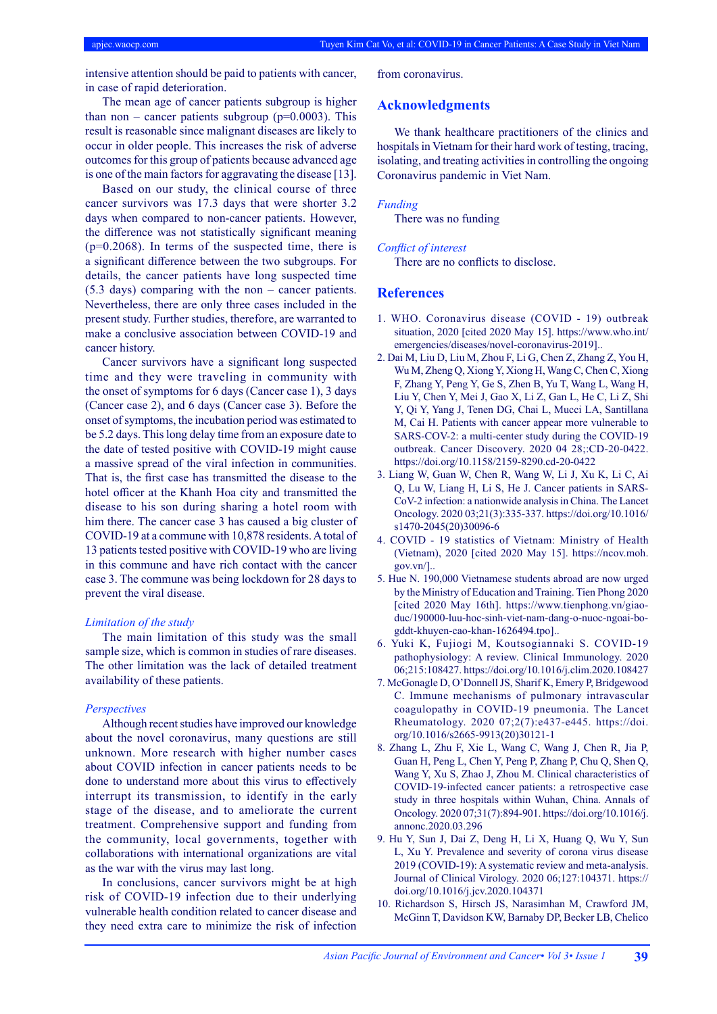intensive attention should be paid to patients with cancer, in case of rapid deterioration.

The mean age of cancer patients subgroup is higher than non – cancer patients subgroup ( $p=0.0003$ ). This result is reasonable since malignant diseases are likely to occur in older people. This increases the risk of adverse outcomes for this group of patients because advanced age is one of the main factors for aggravating the disease [13].

Based on our study, the clinical course of three cancer survivors was 17.3 days that were shorter 3.2 days when compared to non-cancer patients. However, the difference was not statistically significant meaning  $(p=0.2068)$ . In terms of the suspected time, there is a significant difference between the two subgroups. For details, the cancer patients have long suspected time (5.3 days) comparing with the non – cancer patients. Nevertheless, there are only three cases included in the present study. Further studies, therefore, are warranted to make a conclusive association between COVID-19 and cancer history.

Cancer survivors have a significant long suspected time and they were traveling in community with the onset of symptoms for 6 days (Cancer case 1), 3 days (Cancer case 2), and 6 days (Cancer case 3). Before the onset of symptoms, the incubation period was estimated to be 5.2 days. This long delay time from an exposure date to the date of tested positive with COVID-19 might cause a massive spread of the viral infection in communities. That is, the first case has transmitted the disease to the hotel officer at the Khanh Hoa city and transmitted the disease to his son during sharing a hotel room with him there. The cancer case 3 has caused a big cluster of COVID-19 at a commune with 10,878 residents. A total of 13 patients tested positive with COVID-19 who are living in this commune and have rich contact with the cancer case 3. The commune was being lockdown for 28 days to prevent the viral disease.

#### *Limitation of the study*

The main limitation of this study was the small sample size, which is common in studies of rare diseases. The other limitation was the lack of detailed treatment availability of these patients.

#### *Perspectives*

Although recent studies have improved our knowledge about the novel coronavirus, many questions are still unknown. More research with higher number cases about COVID infection in cancer patients needs to be done to understand more about this virus to effectively interrupt its transmission, to identify in the early stage of the disease, and to ameliorate the current treatment. Comprehensive support and funding from the community, local governments, together with collaborations with international organizations are vital as the war with the virus may last long.

In conclusions, cancer survivors might be at high risk of COVID-19 infection due to their underlying vulnerable health condition related to cancer disease and they need extra care to minimize the risk of infection from coronavirus.

## **Acknowledgments**

We thank healthcare practitioners of the clinics and hospitals in Vietnam for their hard work of testing, tracing, isolating, and treating activities in controlling the ongoing Coronavirus pandemic in Viet Nam.

#### *Funding*

There was no funding

### *Conflict of interest*

There are no conflicts to disclose.

### **References**

- 1. WHO. Coronavirus disease (COVID 19) outbreak situation, 2020 [cited 2020 May 15]. https://www.who.int/ emergencies/diseases/novel-coronavirus-2019]..
- 2. Dai M, Liu D, Liu M, Zhou F, Li G, Chen Z, Zhang Z, You H, Wu M, Zheng Q, Xiong Y, Xiong H, Wang C, Chen C, Xiong F, Zhang Y, Peng Y, Ge S, Zhen B, Yu T, Wang L, Wang H, Liu Y, Chen Y, Mei J, Gao X, Li Z, Gan L, He C, Li Z, Shi Y, Qi Y, Yang J, Tenen DG, Chai L, Mucci LA, Santillana M, Cai H. Patients with cancer appear more vulnerable to SARS-COV-2: a multi-center study during the COVID-19 outbreak. Cancer Discovery. 2020 04 28;:CD-20-0422. https://doi.org/10.1158/2159-8290.cd-20-0422
- 3. Liang W, Guan W, Chen R, Wang W, Li J, Xu K, Li C, Ai Q, Lu W, Liang H, Li S, He J. Cancer patients in SARS-CoV-2 infection: a nationwide analysis in China. The Lancet Oncology. 2020 03;21(3):335-337. https://doi.org/10.1016/ s1470-2045(20)30096-6
- 4. COVID 19 statistics of Vietnam: Ministry of Health (Vietnam), 2020 [cited 2020 May 15]. https://ncov.moh.  $gov.vn$ ].
- 5. Hue N. 190,000 Vietnamese students abroad are now urged by the Ministry of Education and Training. Tien Phong 2020 [cited 2020 May 16th]. https://www.tienphong.vn/giaoduc/190000-luu-hoc-sinh-viet-nam-dang-o-nuoc-ngoai-bogddt-khuyen-cao-khan-1626494.tpo]..
- 6. Yuki K, Fujiogi M, Koutsogiannaki S. COVID-19 pathophysiology: A review. Clinical Immunology. 2020 06;215:108427. https://doi.org/10.1016/j.clim.2020.108427
- 7. McGonagle D, O'Donnell JS, Sharif K, Emery P, Bridgewood C. Immune mechanisms of pulmonary intravascular coagulopathy in COVID-19 pneumonia. The Lancet Rheumatology. 2020 07;2(7):e437-e445. https://doi. org/10.1016/s2665-9913(20)30121-1
- 8. Zhang L, Zhu F, Xie L, Wang C, Wang J, Chen R, Jia P, Guan H, Peng L, Chen Y, Peng P, Zhang P, Chu Q, Shen Q, Wang Y, Xu S, Zhao J, Zhou M. Clinical characteristics of COVID-19-infected cancer patients: a retrospective case study in three hospitals within Wuhan, China. Annals of Oncology. 2020 07;31(7):894-901. https://doi.org/10.1016/j. annonc.2020.03.296
- 9. Hu Y, Sun J, Dai Z, Deng H, Li X, Huang Q, Wu Y, Sun L, Xu Y. Prevalence and severity of corona virus disease 2019 (COVID-19): A systematic review and meta-analysis. Journal of Clinical Virology. 2020 06;127:104371. https:// doi.org/10.1016/j.jcv.2020.104371
- 10. Richardson S, Hirsch JS, Narasimhan M, Crawford JM, McGinn T, Davidson KW, Barnaby DP, Becker LB, Chelico